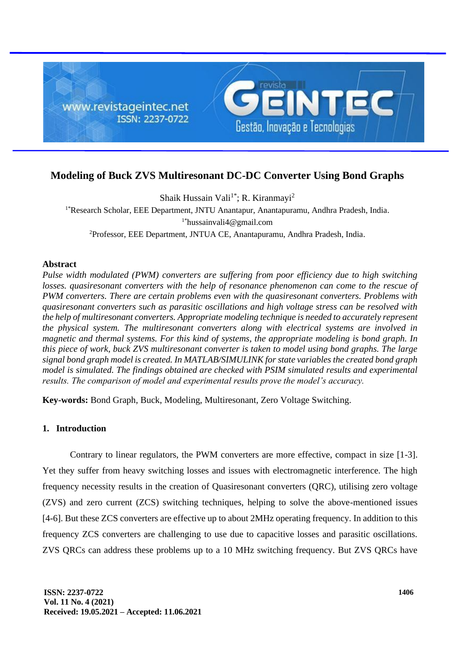

# **Modeling of Buck ZVS Multiresonant DC-DC Converter Using Bond Graphs**

Shaik Hussain Vali<sup>1\*</sup>; R. Kiranmayi<sup>2</sup> 1\*Research Scholar, EEE Department, JNTU Anantapur, Anantapuramu, Andhra Pradesh, India. 1\*hussainvali4@gmail.com <sup>2</sup>Professor, EEE Department, JNTUA CE, Anantapuramu, Andhra Pradesh, India.

## **Abstract**

*Pulse width modulated (PWM) converters are suffering from poor efficiency due to high switching losses, quasiresonant converters with the help of resonance phenomenon can come to the rescue of PWM converters. There are certain problems even with the quasiresonant converters. Problems with quasiresonant converters such as parasitic oscillations and high voltage stress can be resolved with the help of multiresonant converters. Appropriate modeling technique is needed to accurately represent the physical system. The multiresonant converters along with electrical systems are involved in magnetic and thermal systems. For this kind of systems, the appropriate modeling is bond graph. In this piece of work, buck ZVS multiresonant converter is taken to model using bond graphs. The large signal bond graph model is created. In MATLAB/SIMULINK for state variables the created bond graph model is simulated. The findings obtained are checked with PSIM simulated results and experimental results. The comparison of model and experimental results prove the model's accuracy.* 

**Key-words:** Bond Graph, Buck, Modeling, Multiresonant, Zero Voltage Switching.

# **1. Introduction**

Contrary to linear regulators, the PWM converters are more effective, compact in size [1-3]. Yet they suffer from heavy switching losses and issues with electromagnetic interference. The high frequency necessity results in the creation of Quasiresonant converters (QRC), utilising zero voltage (ZVS) and zero current (ZCS) switching techniques, helping to solve the above-mentioned issues [4-6]. But these ZCS converters are effective up to about 2MHz operating frequency. In addition to this frequency ZCS converters are challenging to use due to capacitive losses and parasitic oscillations. ZVS QRCs can address these problems up to a 10 MHz switching frequency. But ZVS QRCs have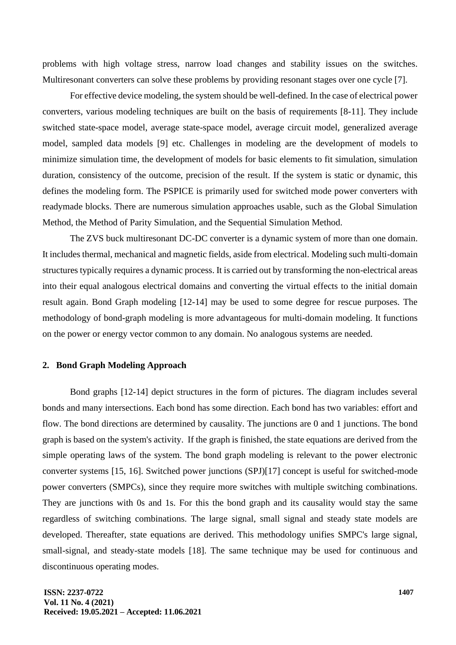problems with high voltage stress, narrow load changes and stability issues on the switches. Multiresonant converters can solve these problems by providing resonant stages over one cycle [7].

For effective device modeling, the system should be well-defined. In the case of electrical power converters, various modeling techniques are built on the basis of requirements [8-11]. They include switched state-space model, average state-space model, average circuit model, generalized average model, sampled data models [9] etc. Challenges in modeling are the development of models to minimize simulation time, the development of models for basic elements to fit simulation, simulation duration, consistency of the outcome, precision of the result. If the system is static or dynamic, this defines the modeling form. The PSPICE is primarily used for switched mode power converters with readymade blocks. There are numerous simulation approaches usable, such as the Global Simulation Method, the Method of Parity Simulation, and the Sequential Simulation Method.

The ZVS buck multiresonant DC-DC converter is a dynamic system of more than one domain. It includes thermal, mechanical and magnetic fields, aside from electrical. Modeling such multi-domain structures typically requires a dynamic process. It is carried out by transforming the non-electrical areas into their equal analogous electrical domains and converting the virtual effects to the initial domain result again. Bond Graph modeling [12-14] may be used to some degree for rescue purposes. The methodology of bond-graph modeling is more advantageous for multi-domain modeling. It functions on the power or energy vector common to any domain. No analogous systems are needed.

### **2. Bond Graph Modeling Approach**

Bond graphs [12-14] depict structures in the form of pictures. The diagram includes several bonds and many intersections. Each bond has some direction. Each bond has two variables: effort and flow. The bond directions are determined by causality. The junctions are 0 and 1 junctions. The bond graph is based on the system's activity. If the graph is finished, the state equations are derived from the simple operating laws of the system. The bond graph modeling is relevant to the power electronic converter systems [15, 16]. Switched power junctions (SPJ)[17] concept is useful for switched-mode power converters (SMPCs), since they require more switches with multiple switching combinations. They are junctions with 0s and 1s. For this the bond graph and its causality would stay the same regardless of switching combinations. The large signal, small signal and steady state models are developed. Thereafter, state equations are derived. This methodology unifies SMPC's large signal, small-signal, and steady-state models [18]. The same technique may be used for continuous and discontinuous operating modes.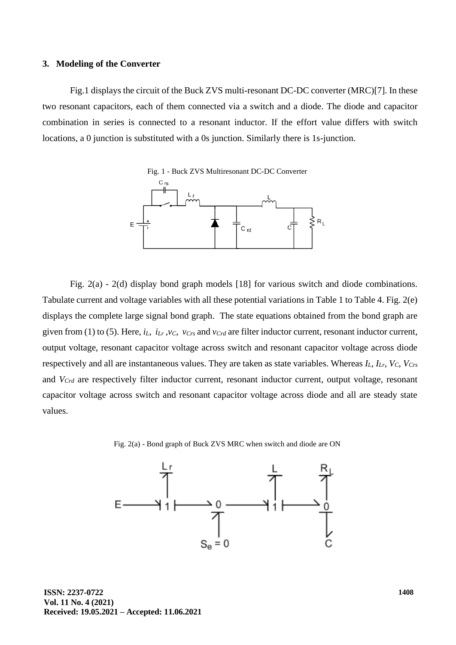#### **3. Modeling of the Converter**

Fig.1 displays the circuit of the Buck ZVS multi-resonant DC-DC converter (MRC)[7]. In these two resonant capacitors, each of them connected via a switch and a diode. The diode and capacitor combination in series is connected to a resonant inductor. If the effort value differs with switch locations, a 0 junction is substituted with a 0s junction. Similarly there is 1s-junction.



Fig. 2(a) - 2(d) display bond graph models [18] for various switch and diode combinations. Tabulate current and voltage variables with all these potential variations in Table 1 to Table 4. Fig. 2(e) displays the complete large signal bond graph. The state equations obtained from the bond graph are given from (1) to (5). Here,  $i_L$ ,  $i_{Lr}$ ,  $v_C$ ,  $v_{Crs}$  and  $v_{Crd}$  are filter inductor current, resonant inductor current, output voltage, resonant capacitor voltage across switch and resonant capacitor voltage across diode respectively and all are instantaneous values. They are taken as state variables. Whereas *IL*, *ILr*, *VC*, *VCrs* and *VCrd* are respectively filter inductor current, resonant inductor current, output voltage, resonant capacitor voltage across switch and resonant capacitor voltage across diode and all are steady state values.



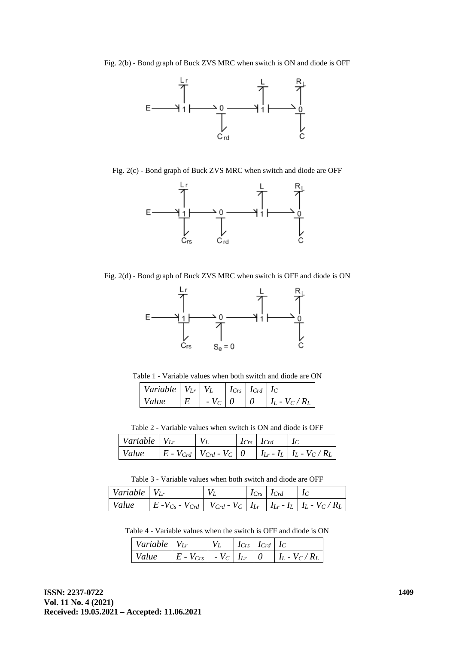

Fig. 2(c) - Bond graph of Buck ZVS MRC when switch and diode are OFF



Fig. 2(d) - Bond graph of Buck ZVS MRC when switch is OFF and diode is ON



Table 1 - Variable values when both switch and diode are ON

| Variable $ V_{Lr} V_L$ |            | $ I_{Crs}   I_{Crd}   I_C$ |                           |
|------------------------|------------|----------------------------|---------------------------|
| Value                  | $-V_C$   0 |                            | $\mid I_L - V_C/R_L \mid$ |

Table 2 - Variable values when switch is ON and diode is OFF

| Variable $V_{Lr}$ |  | $ I_{Crs} $ $I_{Crd}$ $ I_C $ |                                                                                             |
|-------------------|--|-------------------------------|---------------------------------------------------------------------------------------------|
| Value             |  |                               | $\mid E$ - $V_{Crd} \mid V_{Crd}$ - $V_C \mid 0 \mid I_{Lr}$ - $I_L \mid I_L$ - $V_C / R_L$ |

Table 3 - Variable values when both switch and diode are OFF

| Variable $V_{Lr}$ |                                                                                   |  | $I_{Crs}$ $I_{Crd}$ |  |
|-------------------|-----------------------------------------------------------------------------------|--|---------------------|--|
| Value             | $ E - V_{Cs} - V_{Crd} $ $V_{Crd} - V_C  I_{Lr}   I_{Lr} - I_L   I_L - V_C / R_L$ |  |                     |  |

Table 4 - Variable values when the switch is OFF and diode is ON

| <i>Variable</i> $V_{Lr}$ |                                                      |  | $ I_{Crs} \, \, I_{Crd} \, \, I_C$ |                           |
|--------------------------|------------------------------------------------------|--|------------------------------------|---------------------------|
| Value                    | $\mid E$ - $V_{Crs} \mid$ - $V_C \mid I_{Lr} \mid 0$ |  |                                    | $\mid I_L - V_C/R_L \mid$ |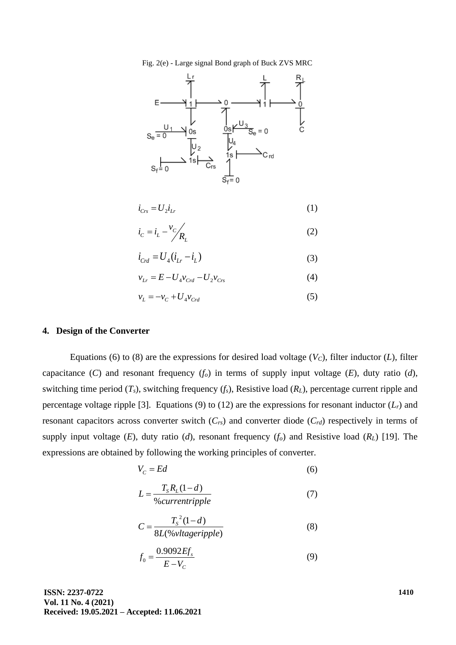



$$
i_{Crs} = U_2 i_{Lr} \tag{1}
$$

$$
i_c = i_L - \frac{v_c}{R_L} \tag{2}
$$

$$
i_{Crd} = U_4(i_{Lr} - i_L)
$$
 (3)

$$
v_{Lr} = E - U_4 v_{Crd} - U_2 v_{Crs}
$$
 (4)

$$
v_L = -v_C + U_4 v_{Crd} \tag{5}
$$

### **4. Design of the Converter**

Equations (6) to (8) are the expressions for desired load voltage  $(V_C)$ , filter inductor  $(L)$ , filter capacitance (*C*) and resonant frequency  $(f_o)$  in terms of supply input voltage (*E*), duty ratio (*d*), switching time period  $(T_s)$ , switching frequency  $(f_s)$ , Resistive load  $(R_L)$ , percentage current ripple and percentage voltage ripple [3]. Equations (9) to (12) are the expressions for resonant inductor  $(L_r)$  and resonant capacitors across converter switch (*Crs*) and converter diode (*Crd*) respectively in terms of supply input voltage  $(E)$ , duty ratio  $(d)$ , resonant frequency  $(f_o)$  and Resistive load  $(R_L)$  [19]. The expressions are obtained by following the working principles of converter.

$$
V_c = Ed \tag{6}
$$

$$
L = \frac{T_s R_L (1 - d)}{\% current ripple} \tag{7}
$$

$$
C = \frac{T_s^2 (1 - d)}{8L(\% \text{v} (tagger) \text{p})}
$$
(8)

$$
f_0 = \frac{0.9092 E f_s}{E - V_C}
$$
(9)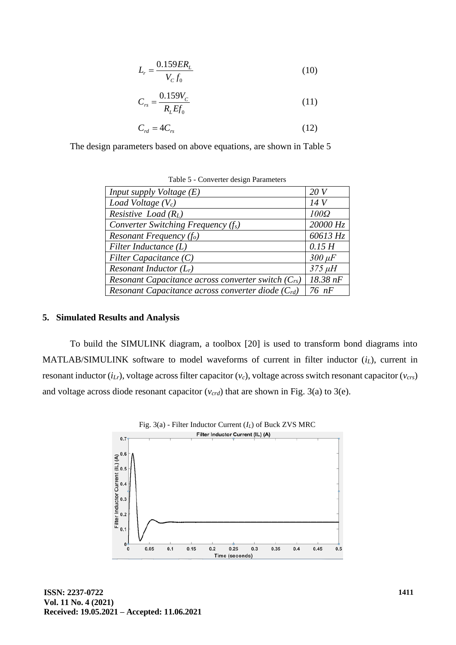$$
L_r = \frac{0.159ER_L}{V_c f_0} \tag{10}
$$

$$
C_{rs} = \frac{0.159V_C}{R_L E f_0}
$$
\n(11)

$$
C_{rd} = 4C_{rs} \tag{12}
$$

The design parameters based on above equations, are shown in Table 5

| <i>Input supply Voltage <math>(E)</math></i>            | 20V         |
|---------------------------------------------------------|-------------|
| Load Voltage $(V_c)$                                    | 14V         |
| <i>Resistive Load</i> $(R_L)$                           | $100\Omega$ |
| Converter Switching Frequency $(f_s)$                   | 20000 Hz    |
| Resonant Frequency $(f_o)$                              | 60613 Hz    |
| Filter Inductance $(L)$                                 | 0.15H       |
| Filter Capacitance $(C)$                                | $300 \mu F$ |
| Resonant Inductor $(L_r)$                               | $375 \mu H$ |
| Resonant Capacitance across converter switch $(C_{rs})$ | 18.38 nF    |
| Resonant Capacitance across converter diode $(C_{rd})$  | $76$ nF     |

Table 5 - Converter design Parameters

### **5. Simulated Results and Analysis**

To build the SIMULINK diagram, a toolbox [20] is used to transform bond diagrams into MATLAB/SIMULINK software to model waveforms of current in filter inductor (*iL*), current in resonant inductor (*iLr*), voltage across filter capacitor (*vc*), voltage across switch resonant capacitor (*vcrs*) and voltage across diode resonant capacitor  $(v_{crd})$  that are shown in Fig. 3(a) to 3(e).

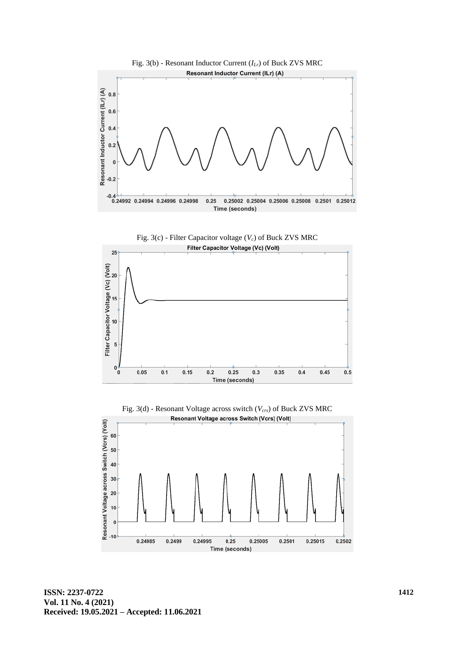





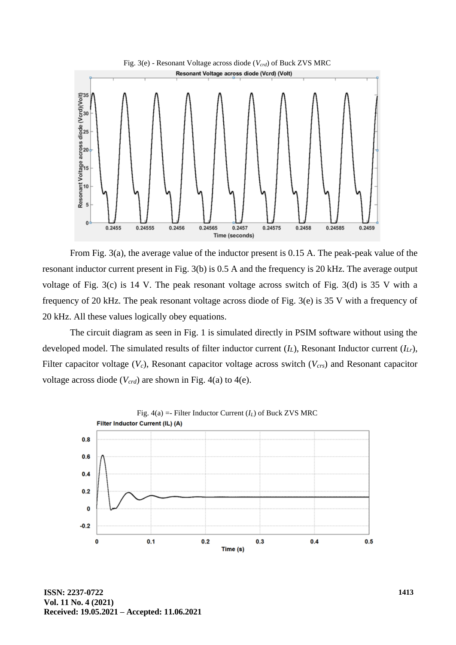

From Fig. 3(a), the average value of the inductor present is 0.15 A. The peak-peak value of the resonant inductor current present in Fig. 3(b) is 0.5 A and the frequency is 20 kHz. The average output voltage of Fig. 3(c) is 14 V. The peak resonant voltage across switch of Fig. 3(d) is 35 V with a frequency of 20 kHz. The peak resonant voltage across diode of Fig. 3(e) is 35 V with a frequency of 20 kHz. All these values logically obey equations.

The circuit diagram as seen in Fig. 1 is simulated directly in PSIM software without using the developed model. The simulated results of filter inductor current (*IL*), Resonant Inductor current (*ILr*), Filter capacitor voltage (*Vc*), Resonant capacitor voltage across switch (*Vcrs*) and Resonant capacitor voltage across diode (*Vcrd*) are shown in Fig. 4(a) to 4(e).

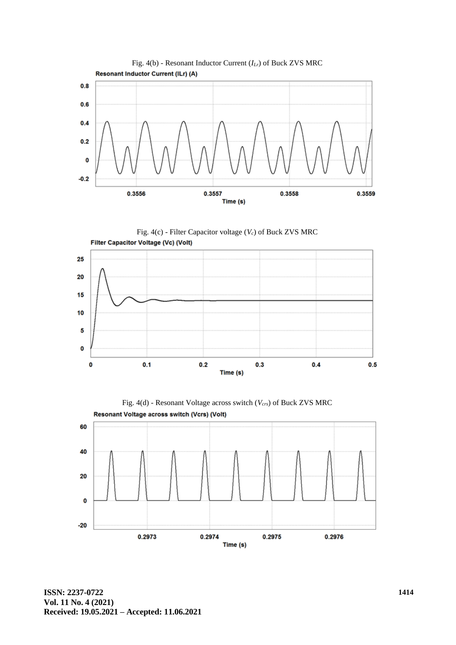

Fig. 4(c) - Filter Capacitor voltage (*Vc*) of Buck ZVS MRC Filter Capacitor Voltage (Vc) (Volt)





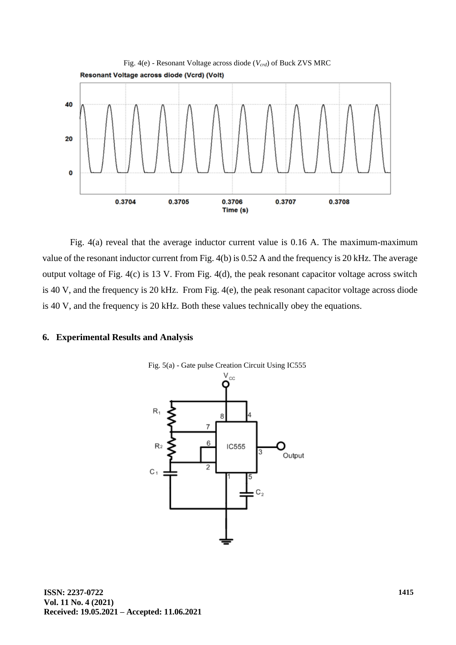

Fig. 4(a) reveal that the average inductor current value is 0.16 A. The maximum-maximum value of the resonant inductor current from Fig. 4(b) is 0.52 A and the frequency is 20 kHz. The average output voltage of Fig. 4(c) is 13 V. From Fig. 4(d), the peak resonant capacitor voltage across switch is 40 V, and the frequency is 20 kHz. From Fig. 4(e), the peak resonant capacitor voltage across diode is 40 V, and the frequency is 20 kHz. Both these values technically obey the equations.

## **6. Experimental Results and Analysis**

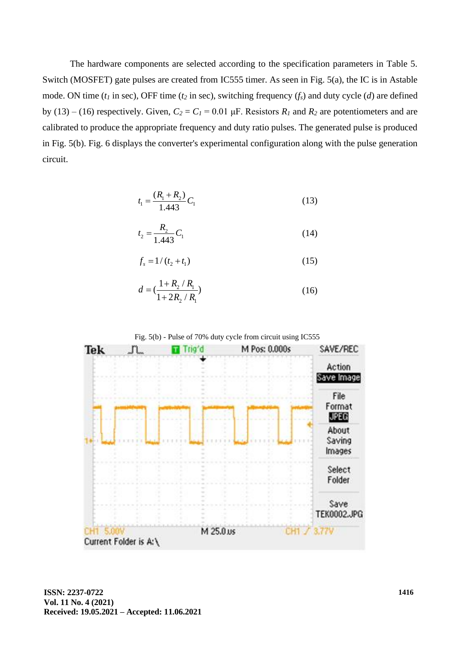The hardware components are selected according to the specification parameters in Table 5. Switch (MOSFET) gate pulses are created from IC555 timer. As seen in Fig. 5(a), the IC is in Astable mode. ON time (*t<sup>1</sup>* in sec), OFF time (*t<sup>2</sup>* in sec), switching frequency (*fs*) and duty cycle (*d*) are defined by (13) – (16) respectively. Given,  $C_2 = C_1 = 0.01$   $\mu$ F. Resistors  $R_1$  and  $R_2$  are potentiometers and are calibrated to produce the appropriate frequency and duty ratio pulses. The generated pulse is produced in Fig. 5(b). Fig. 6 displays the converter's experimental configuration along with the pulse generation circuit.

$$
t_1 = \frac{(R_1 + R_2)}{1.443} C_1 \tag{13}
$$

$$
t_2 = \frac{R_2}{1.443} C_1 \tag{14}
$$

$$
f_s = 1/(t_2 + t_1) \tag{15}
$$

$$
d = \left(\frac{1 + R_2 / R_1}{1 + 2R_2 / R_1}\right) \tag{16}
$$



Fig. 5(b) - Pulse of 70% duty cycle from circuit using IC555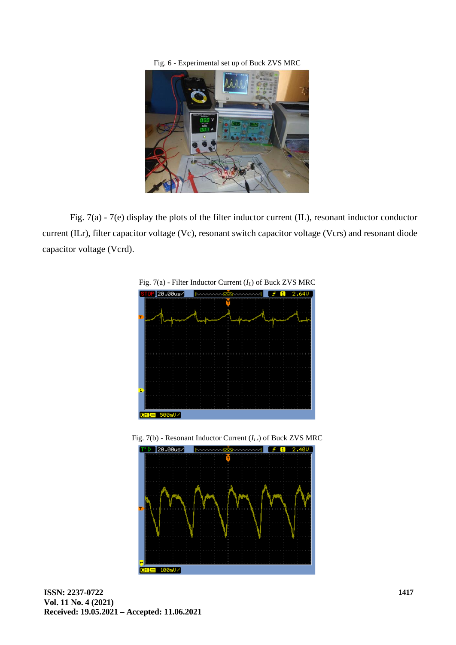Fig. 6 - Experimental set up of Buck ZVS MRC



Fig. 7(a) - 7(e) display the plots of the filter inductor current (IL), resonant inductor conductor current (ILr), filter capacitor voltage (Vc), resonant switch capacitor voltage (Vcrs) and resonant diode capacitor voltage (Vcrd).



Fig. 7(b) - Resonant Inductor Current (*ILr*) of Buck ZVS MRC

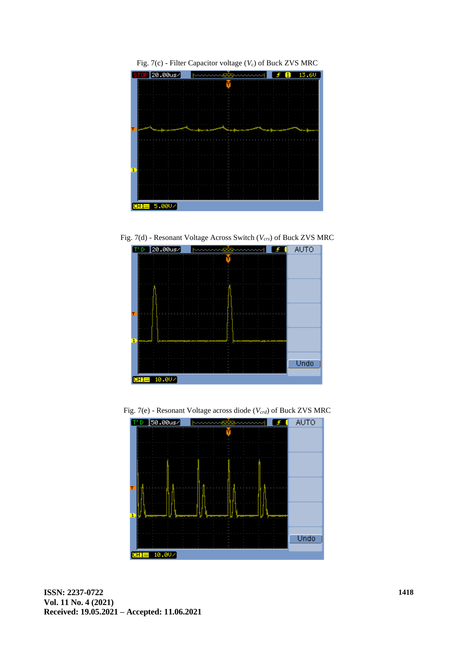

Fig. 7(c) - Filter Capacitor voltage (*Vc*) of Buck ZVS MRC

Fig. 7(d) - Resonant Voltage Across Switch (*Vcrs*) of Buck ZVS MRC



Fig. 7(e) - Resonant Voltage across diode (*Vcrd*) of Buck ZVS MRC

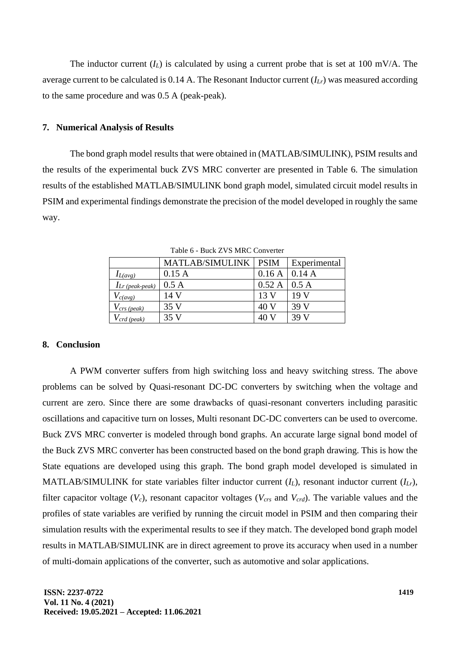The inductor current  $(I_L)$  is calculated by using a current probe that is set at 100 mV/A. The average current to be calculated is 0.14 A. The Resonant Inductor current (*ILr*) was measured according to the same procedure and was 0.5 A (peak-peak).

#### **7. Numerical Analysis of Results**

The bond graph model results that were obtained in (MATLAB/SIMULINK), PSIM results and the results of the experimental buck ZVS MRC converter are presented in Table 6. The simulation results of the established MATLAB/SIMULINK bond graph model, simulated circuit model results in PSIM and experimental findings demonstrate the precision of the model developed in roughly the same way.

|                      | <b>MATLAB/SIMULINK</b> | <b>PSIM</b> | Experimental |
|----------------------|------------------------|-------------|--------------|
| $I_{L(avg)}$         | 0.15A                  | 0.16A       | 0.14 A       |
| $I_{Lr}$ (peak-peak) | 0.5 A                  | 0.52A       | 0.5 A        |
| $V_{c(avg)}$         | 14 V                   | 13 V        | 19 V         |
| $V_{crs (peak)}$     | 35 V                   | 40 V        | 39 V         |
| crd (peak)           | 35 V                   |             | 39 V         |

Table 6 - Buck ZVS MRC Converter

#### **8. Conclusion**

A PWM converter suffers from high switching loss and heavy switching stress. The above problems can be solved by Quasi-resonant DC-DC converters by switching when the voltage and current are zero. Since there are some drawbacks of quasi-resonant converters including parasitic oscillations and capacitive turn on losses, Multi resonant DC-DC converters can be used to overcome. Buck ZVS MRC converter is modeled through bond graphs. An accurate large signal bond model of the Buck ZVS MRC converter has been constructed based on the bond graph drawing. This is how the State equations are developed using this graph. The bond graph model developed is simulated in MATLAB/SIMULINK for state variables filter inductor current (*IL*), resonant inductor current (*ILr*), filter capacitor voltage (*Vc*), resonant capacitor voltages (*Vcrs* and *Vcrd*). The variable values and the profiles of state variables are verified by running the circuit model in PSIM and then comparing their simulation results with the experimental results to see if they match. The developed bond graph model results in MATLAB/SIMULINK are in direct agreement to prove its accuracy when used in a number of multi-domain applications of the converter, such as automotive and solar applications.